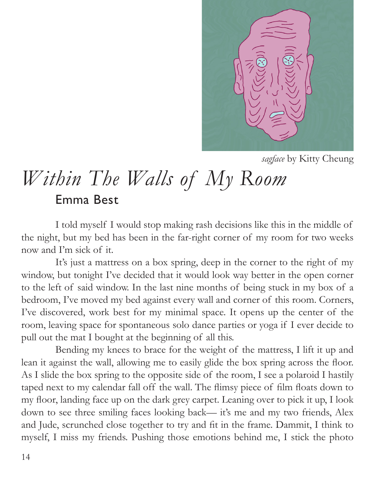

*sagface* by Kitty Cheung

## *Within The Walls of My Room* Emma Best

I told myself I would stop making rash decisions like this in the middle of the night, but my bed has been in the far-right corner of my room for two weeks now and I'm sick of it.

It's just a mattress on a box spring, deep in the corner to the right of my window, but tonight I've decided that it would look way better in the open corner to the left of said window. In the last nine months of being stuck in my box of a bedroom, I've moved my bed against every wall and corner of this room. Corners, I've discovered, work best for my minimal space. It opens up the center of the room, leaving space for spontaneous solo dance parties or yoga if I ever decide to pull out the mat I bought at the beginning of all this.

Bending my knees to brace for the weight of the mattress, I lift it up and lean it against the wall, allowing me to easily glide the box spring across the floor. As I slide the box spring to the opposite side of the room, I see a polaroid I hastily taped next to my calendar fall off the wall. The flimsy piece of film floats down to my floor, landing face up on the dark grey carpet. Leaning over to pick it up, I look down to see three smiling faces looking back— it's me and my two friends, Alex and Jude, scrunched close together to try and fit in the frame. Dammit, I think to myself, I miss my friends. Pushing those emotions behind me, I stick the photo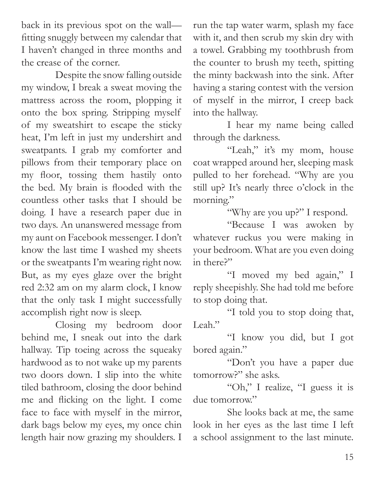back in its previous spot on the wall fitting snuggly between my calendar that I haven't changed in three months and the crease of the corner.

Despite the snow falling outside my window, I break a sweat moving the mattress across the room, plopping it onto the box spring. Stripping myself of my sweatshirt to escape the sticky heat, I'm left in just my undershirt and sweatpants. I grab my comforter and pillows from their temporary place on my floor, tossing them hastily onto the bed. My brain is flooded with the countless other tasks that I should be doing. I have a research paper due in two days. An unanswered message from my aunt on Facebook messenger. I don't know the last time I washed my sheets or the sweatpants I'm wearing right now. But, as my eyes glaze over the bright red 2:32 am on my alarm clock, I know that the only task I might successfully accomplish right now is sleep.

Closing my bedroom door behind me, I sneak out into the dark hallway. Tip toeing across the squeaky hardwood as to not wake up my parents two doors down. I slip into the white tiled bathroom, closing the door behind me and flicking on the light. I come face to face with myself in the mirror, dark bags below my eyes, my once chin length hair now grazing my shoulders. I

run the tap water warm, splash my face with it, and then scrub my skin dry with a towel. Grabbing my toothbrush from the counter to brush my teeth, spitting the minty backwash into the sink. After having a staring contest with the version of myself in the mirror, I creep back into the hallway.

I hear my name being called through the darkness.

"Leah," it's my mom, house coat wrapped around her, sleeping mask pulled to her forehead. "Why are you still up? It's nearly three o'clock in the morning."

"Why are you up?" I respond.

"Because I was awoken by whatever ruckus you were making in your bedroom. What are you even doing in there?"

"I moved my bed again," I reply sheepishly. She had told me before to stop doing that.

"I told you to stop doing that, Leah."

"I know you did, but I got bored again."

"Don't you have a paper due tomorrow?" she asks.

"Oh," I realize, "I guess it is due tomorrow."

She looks back at me, the same look in her eyes as the last time I left a school assignment to the last minute.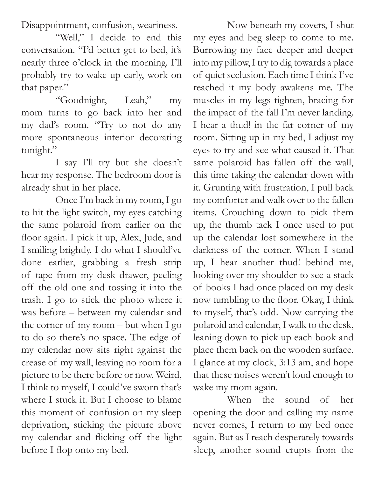Disappointment, confusion, weariness.

"Well," I decide to end this conversation. "I'd better get to bed, it's nearly three o'clock in the morning. I'll probably try to wake up early, work on that paper."

"Goodnight, Leah," my mom turns to go back into her and my dad's room. "Try to not do any more spontaneous interior decorating tonight."

I say I'll try but she doesn't hear my response. The bedroom door is already shut in her place.

before I flop onto my bed. Once I'm back in my room, I go to hit the light switch, my eyes catching the same polaroid from earlier on the floor again. I pick it up, Alex, Jude, and I smiling brightly. I do what I should've done earlier, grabbing a fresh strip of tape from my desk drawer, peeling off the old one and tossing it into the trash. I go to stick the photo where it was before – between my calendar and the corner of my room – but when I go to do so there's no space. The edge of my calendar now sits right against the crease of my wall, leaving no room for a picture to be there before or now. Weird, I think to myself, I could've sworn that's where I stuck it. But I choose to blame this moment of confusion on my sleep deprivation, sticking the picture above my calendar and flicking off the light

Now beneath my covers, I shut my eyes and beg sleep to come to me. Burrowing my face deeper and deeper into my pillow, I try to dig towards a place of quiet seclusion. Each time I think I've reached it my body awakens me. The muscles in my legs tighten, bracing for the impact of the fall I'm never landing. I hear a thud! in the far corner of my room. Sitting up in my bed, I adjust my eyes to try and see what caused it. That same polaroid has fallen off the wall, this time taking the calendar down with it. Grunting with frustration, I pull back my comforter and walk over to the fallen items. Crouching down to pick them up, the thumb tack I once used to put up the calendar lost somewhere in the darkness of the corner. When I stand up, I hear another thud! behind me, looking over my shoulder to see a stack of books I had once placed on my desk now tumbling to the floor. Okay, I think to myself, that's odd. Now carrying the polaroid and calendar, I walk to the desk, leaning down to pick up each book and place them back on the wooden surface. I glance at my clock, 3:13 am, and hope that these noises weren't loud enough to wake my mom again.

When the sound of her opening the door and calling my name never comes, I return to my bed once again. But as I reach desperately towards sleep, another sound erupts from the